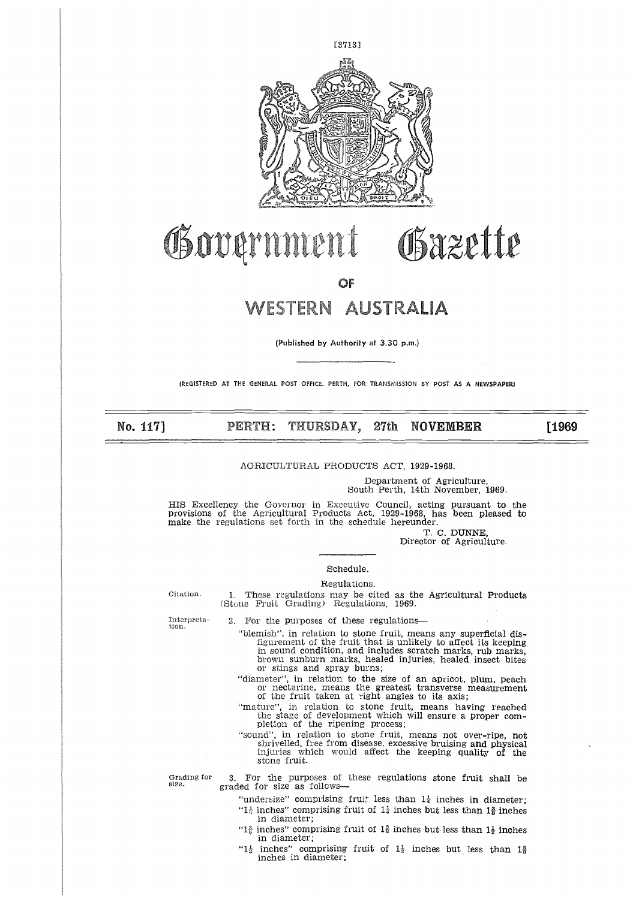

# Bazette **,otq**

# WESTERN AUSTRALIA

(Published by Authority at 3.30 p.m.)

(REGISTERED AT THE GENERAL POST OFFICE, PERTH, FOR TRANSMISSION BY POST AS A NEWSPAPER)

No. 117] PERTH: THURSDAY, 27th NOVEMBER

[1969

## AGRICULTURAL PRODUCTS ACT, 1929-1968.

Department of Agriculture, South Perth, 14th November, 1969.

HIS Excellency the Governor in Executive Council, acting pursuant to the provisions of the Agricultural Products Act, 1929-1968, has been pleased to make the regulations set forth in the schedule hereunder. Department of Agriculture,<br>
Soluth Perth, 14th November, 1969.<br>
provisions of the Agricultural Products Act, 1929-1968, has been pleased to<br>
make the regulations set forth in the schedule hereunder.<br>
T. C. DUNNE,<br>
Director

T. C. DUNNE, Director of Agriculture.

## Schedule.

Regulations.

1. These regulations may be cited as the Agricultural Products (Stone Fruit Grading) Regulations, 1969. 2. For the purposes of these regulations

Interpreta-tion.

"blemish", in relation to stone fruit, means any superficial disfigurement of the fruit that is unlikely to affect its keeping in sound condition, and includes scratch marks, rub marks,

brown sunburn marks, healed injuries, healed insect bites or stings and spray burns;

"diameter", in relation to the size of an apricot, plum, peach or nectarine, means the greatest transverse measurement of the fruit taken at right angles to its axis;

"mature", in relation to stone fruit, means having reached the stage of development which will ensure a proper com-pletion of the ripening process;

"sound", in relation to stone fruit, means not over-ripe, not shrivelled, free from disease, excessive bruising and physical injuries which would affect the keeping quality of the stone fruit.

Grading for size.

3. For the purposes of these regulations stone fruit shall be graded for size as follows

"undersize" comprising fruit less than  $1\frac{1}{4}$  inches in diameter;

- " $1\frac{1}{4}$  inches" comprising fruit of  $1\frac{1}{4}$  inches but less than  $1\frac{3}{8}$  inches in diameter;
- "1 $\frac{3}{2}$  inches" comprising fruit of 1 $\frac{3}{2}$  inches but less than 1 $\frac{1}{2}$  inches in diameter;
- " $1\frac{1}{2}$  inches" comprising fruit of  $1\frac{1}{2}$  inches but less than 1\$ inches in diameter;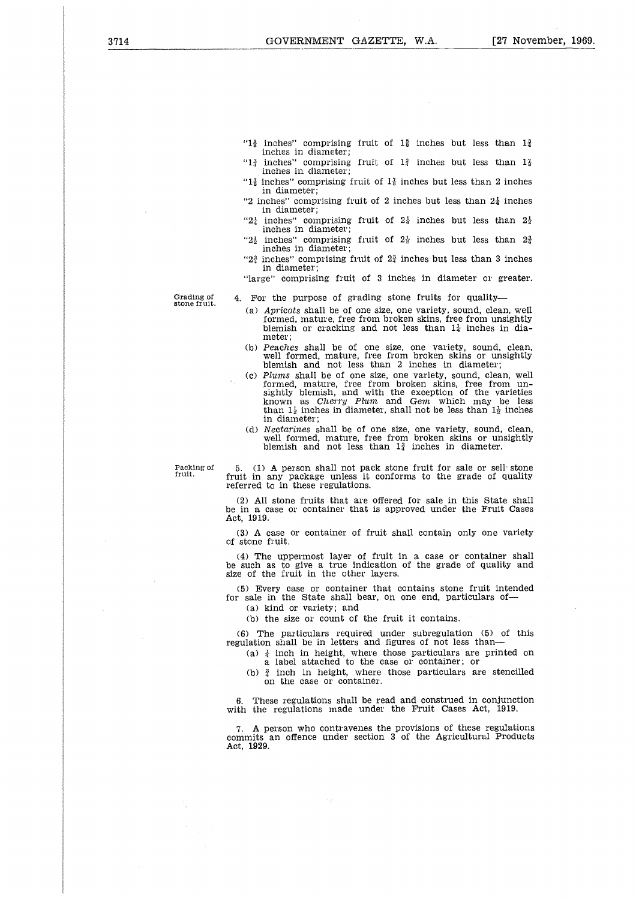- " $1\frac{5}{8}$  inches" comprising fruit of  $1\frac{5}{8}$  inches but less than  $1\frac{3}{4}$
- inches in diameter; inches" comprising fruit of  $1\frac{3}{4}$  inches but less than  $1\frac{7}{8}$
- $\frac{1}{3}$ inches in diameter; "1 $\frac{7}{8}$  inches" comprising fruit of 1 $\frac{7}{8}$  inches but less than 2 inches in diameter;
- "2 inches" comprising fruit of 2 inches but less than  $2\frac{1}{4}$  inches in diameter;
- " $2\frac{1}{4}$  inches" comprising fruit of  $2\frac{1}{4}$  inches but less than  $2\frac{1}{2}$ inches in diameter;
- " $2\frac{1}{2}$  inches" comprising fruit of  $2\frac{1}{2}$  inches but less than  $2\frac{3}{4}$ inches in diameter;
- " $2\frac{3}{4}$  inches" comprising fruit of  $2\frac{3}{4}$  inches but less than 3 inches in diameter;
- "large" comprising fruit of 3 inches in diameter or greater.

Grading of stone fruit.

4. For the purpose of grading stone fruits for quality

- *(a) Apricots* shall be of one size, one variety, sound, clean, well formed, mature, free from broken skins, free from unsightly blemish or cracking and not less than  $1\frac{1}{4}$  inches in diameter;
- *(b) Peaches* shall be of one size, one variety, sound, clean, well formed, mature, free from broken skins or unsightly blemish and not less than 2 inches in diameter
- (c) Plums shall be of one size, one variety, sound, clean, well<br>formed, mature, free from broken skins, free from un-<br>sightly blemish, and with the exception of the varieties<br>known as *Cherry Plum* and *Gem* which may be in diameter;
- (d) *Nectarines* shall be of one size, one variety, sound, clean, well formed, mature, free from broken skins or unsightly blemish and not less than  $1\frac{3}{4}$  inches in diameter.

Packing of fruit.

5. (1) A person shall not pack stone fruit for sale or sell stone fruit in any package unless it conforms to the grade of quality referred to in these regulations.

(2) All stone fruits that are offered for sale in this State shall be in a case or container that is approved under the Fruit Cases Act, 1919.

(3) A case or container of fruit shall contain only one variety of stone fruit.

(4) The uppermost layer of fruit in a case or container shall be such as to give a true indication of the grade of quality and size of the fruit in the other layers.

(5) Every case or container that contains stone fruit intended for sale in the State shall bear, on one end, particulars of

(a) kind or variety; and

(b) the size or count of the fruit it contains.

(6) The particulars required under subregulation (5) of this regulation shall be in letters and figures of not less than

(a)  $\frac{1}{4}$  inch in height, where those particulars are printed on a label attached to the case or container; or

(b)  $\frac{3}{4}$  inch in height, where those particulars are stencilled on the case or container.

6. These regulations shall be read and construed in conjunction with the regulations made under the Fruit Cases Act, 1919.

7. A person who contravenes the provisions of these regulations commits an offence under section 3 of the Agricultural Products Act, 1929.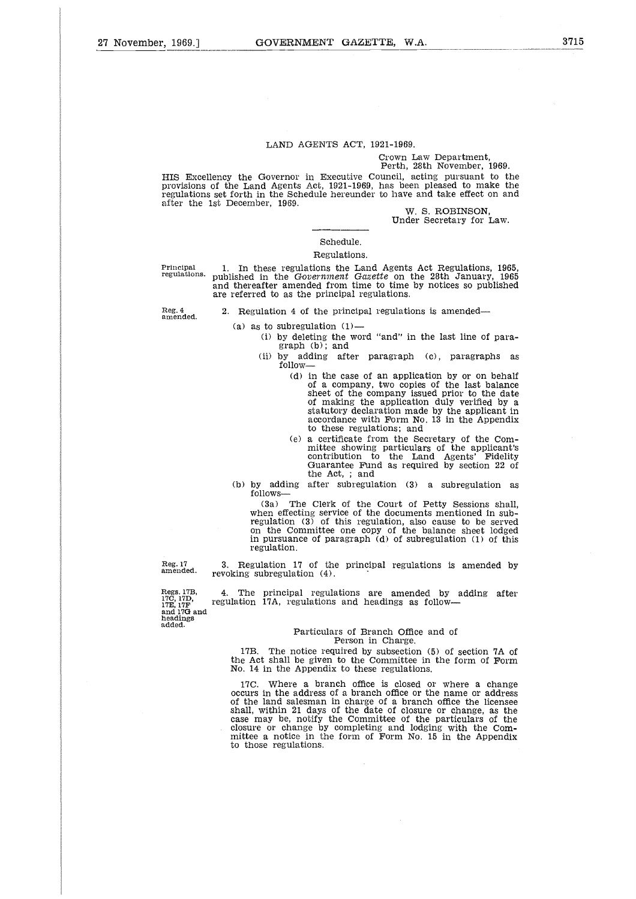#### LAND AGENTS ACT, 1921-1969.

#### Crown Law Department, Perth, 28th November, 1969.

HIS Excellency the Governor in Executive Council, acting pursuant to the provisions of the Land Agents Act, 1921-1969, has been pleased to make the regulations set forth in the Schedule hereunder to have and take effect on and after the 1st December, 1969. HIS Excellency the Governor in Executive Council, acting pursuant to the<br>provisions of the Land Agents Act, 1921-1969, has been pleased to make the<br>regulations set forth in the Schedule hereunder to have and take effect o

W. S. ROBINSON, Under Secretary for Law.

## Schedule.

## Regulations.

regulations. published in the *Government Gazette* on the 28th January, 1965 and thereafter amended from time to time by notices so published are referred to as the principal regulations.

2. Regulation 4 of the principal regulations *is* amended

Reg. 4 amended.

- 
- (a) as to subregulation  $(1)$ -
	- (i) by deleting the word "and" in the last line of paragraph (b); and
	- (ii) by adding after paragraph (c), paragraphs as follow
		- (d) in the case of an application by or on behalf of a company, two copies of the last balance sheet of the company issued prior to the date of making the application duly verified by a statutory declaration made by the applicant in accordance with Form No. 13 in the Appendix to these regulations; and
		- (e) a certificate from the Secretary of the Committee showing particulars of the applicant's contribution to the Land Agents' Fidelity Guarantee Fund as required by section 22 of the Act, ; and
- (b) by adding after subregulation (3) a subregulation as follows

(3a) The Clerk of the Court of Petty Sessions shall, when effecting service of the documents mentioned in sub-regulation (3) of this regulation, also cause to be served on the Committee one copy of the balance sheet lodged in pursuance of paragraph (d) of subregulation (1) of this regulation.

Reg. 17 amended.

3. Regulation 17 of the principal regulations *is* amended by revoking subregulation (4).

4. The principal regulations are amended by adding after regulation 17A, regulations and headings as follow

#### Particulars of Branch Office and of Person in Charge.

17B. The notice required by subsection (5) of section 7A of the Act shall be given to the Committee in the form of Form No. 14 in the Appendix to these regulations.

17C. Where a branch office is closed or where a change occurs in the address of a branch office or the name or address of the land salesman in charge of a branch office the licensee shall, within 21 days of the date of closure or change, as the case may be, notify the Committee of the particulars of the closure or change by completing and lodging with the Committee a notice in the form of Form No. 15 in the Appendix to those regulations.

Regs. 17B, 17C, 17D, 17E, 17F and 17G and headings

added.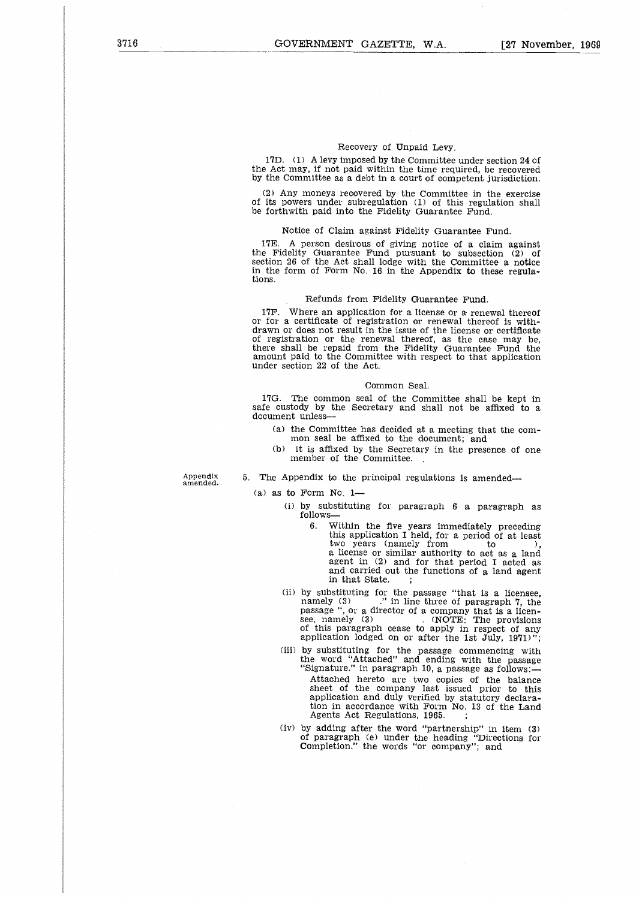## Recovery of Unpaid Levy.

17D. (1) A levy imposed by the Committee under section 24 of the Act may, if not paid within the time required, be recovered by the Committee as a debt in a court of competent jurisdiction.

(2) Any moneys recovered by the Committee in the exercise of its powers under subregulation (1) of this regulation shall be forthwith paid into the Fidelity Guarantee Fund.

#### Notice of Claim against Fidelity Guarantee Fund.

17E. A person desirous of giving notice of a claim against the Fidelity Guarantee Fund pursuant to subsection  $(2)$  of section 26 of the Act shall lodge with the Committee a notice in the form of Form No. 16 in the Appendix to these regulations.

## Refunds from Fidelity Guarantee Fund.

17F. Where an application for a license or a renewal thereof or for a certificate of registration or renewal thereof is withdrawn or does not result in the issue of the license or certificate of registration or the renewal thereof, as the case may be there shall be repaid from the Fidelity Guarantee Fund the amount paid to the Committee with respect to that application under section 22 of the Act.

#### Common Seal.

17G. The common seal of the Committee shall be kept in safe custody by the Secretary and shall not be affixed to a document unless

- (a) the Committee has decided at a meeting that the common seal be affixed to the document; and
- (b) it is affixed by the Secretary in the presence of one member of the Committee.

5. The Appendix to the principal regulations is amended—

Appendix<br>amended.

- (a) as to Form No  $1-$ 
	- (i) by substituting for paragraph 6 a paragraph as follows-
- 6. Within the five years immediately preceding this application I held, for a period of at least The secondary and state in the second of a meeting that the com-<br>
Lee affixed to the document; and<br>
ixed by the Secretary in the presence of one<br>
of the Committee.<br>
.<br>
to the principal regulations is amended—<br>
No. 1—<br>
ssti a license or similar authority to act as a land agent in (2) and for that period I acted as and carried out the functions of a land agent in that State.
	- (ii) by substituting for the passage "that is a licensee, namely (3) ." in line three of paragraph 7, the passage ", or a director of a company that is a licen-<br>see, namely (3) . (NOTE: The provisions<br>of this paragraph cease to apply in respect of any application lodged on or after the 1st July, 1971)";
	- (iii) by substituting for the passage commencing with the word "Attached" and ending with the passage "Signature." in paragraph 10, a passage *as* follows: Attached hereto are two copies of the balance sheet of the company last issued prior to this application and duly verified by statutory declaration in accordance with Form No. 13 of the Land Agents Act Regulations, 1965.
	- (iv) by adding after the word "partnership" in item (3) of paragraph (e) under the heading "Directions for Completion." the words "or company"; and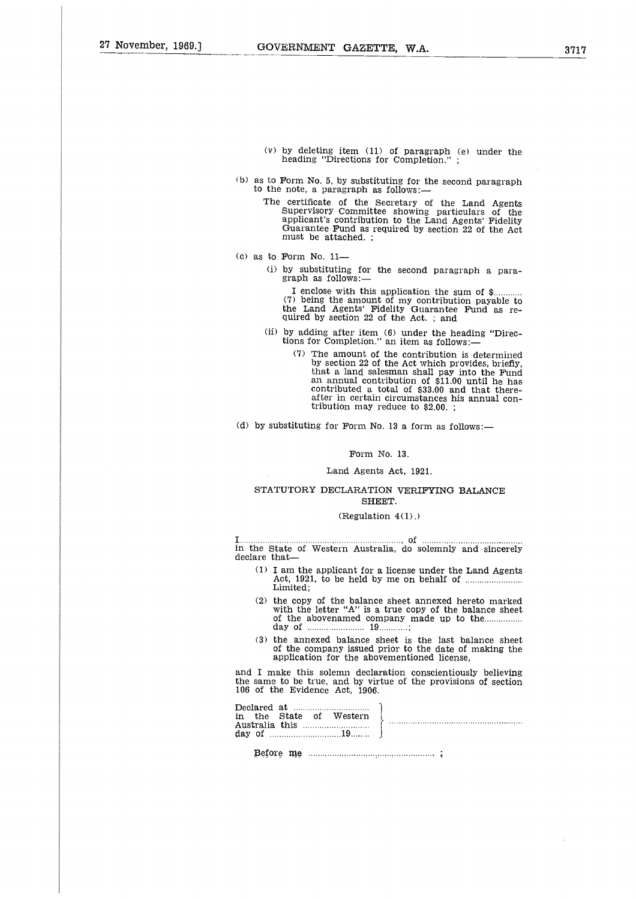- (v) by deleting item (11) of paragraph (e) under the heading "Directions for Completion." ;
- (b) as to Form No. 5, by substituting for the second paragraph to the note, a paragraph as follows:
- The certificate of the Secretary of the Land Agents Supervisory Committee showing particulars of the applicant's contribution to the Land Agents' Fidelity Guarantee Fund as required by section 22 of the Act must be attached. ; ading "Directions for Completion.";<br>
Irm No. 5, by substituting for the second paragote, a paragraph as follows:—<br>
ertificate of the Secretary of the Land A<br>
pplicant's contribution to the Land Agents' Fi-<br>
pplicant's con
- (c) as to Form No. 11-
	- (i) by substituting for the second paragraph a paragraph as follows:—

(7) being the amount of my contribution payable to<br>the Land Agents' Fidelity Guarantee Fund as required by section 22 of the Act.; and

- (ii) by adding after item  $(6)$  under the heading "Directions for Completion." an item as follows:—
- (7) The amount of the contribution is determined by section 22 of the Act which provides, briefly, that a land salesman shall pay into the Fund an annual contribution of \$11.00 until he has contributed a total of \$33.00 and that thereafter in certain circumstances his annual contribution may reduce to \$2.00. ; (7) The amount of the contributed and salesman shall and salesman shall an amount iblution of the Act what a land salesman shall contributed a total of \$3<br>after in certain circumstal tribution may reduce to \$<br>d) by substi

(d) by substituting for Form No. 13 a form as follows:-

#### Form No. 13.

## Land Agents Act, 1921.

## STATUTORY DECLARATION VERIFYING BALANCE SHEET.

#### $(Regularion 4(1).)$

I declare that in the State of Western Australia, do solemnly and sincerely

- (1) I am the applicant for a license under the Land Agents Limited; Act, 1921, to be held by me on behalf of A<br>...<br>...<br>...
- (2) the copy of the balance sheet annexed hereto marked with the letter "A" is a true copy of the balance sheet of the abovenamed company made up to the day of SHET<br>
SHET<br>
(Regulatio<br>
Western Austral<br>
e applicant for a<br>
e applicant for a<br>
1, to be held by<br>
;<br>
y of the balance<br>
eletter "A" is a<br>
abovenamed com<br>
19...<br>
nexed balance shompany issued p<br>
ion for the above **r**<br>3.<br>3.<br>8.
- (3) the annexed balance sheet is the last balance sheet of the company issued prior to the date of making the application for the abovementioned license,

| Limited:                                                                                                                                                                                                                                             |
|------------------------------------------------------------------------------------------------------------------------------------------------------------------------------------------------------------------------------------------------------|
| (2) the copy of the balance sheet annexed hereto marked<br>with the letter "A" is a true copy of the balance sheet                                                                                                                                   |
| (3) the annexed balance sheet is the last balance sheet<br>of the company issued prior to the date of making the<br>application for the abovementioned license.                                                                                      |
| and I make this solemn declaration conscientiously believing<br>the same to be true, and by virtue of the provisions of section<br>106 of the Evidence Act, 1906.                                                                                    |
| $\begin{array}{c} \begin{array}{c} \text{Declared at} \\ \text{in the State of Western} \\ \text{day of} \\ \end{array} \end{array} \bigg\} \begin{array}{c} \begin{array}{c} \text{in the State} \\ \text{in the State} \\ \end{array} \end{array}$ |
|                                                                                                                                                                                                                                                      |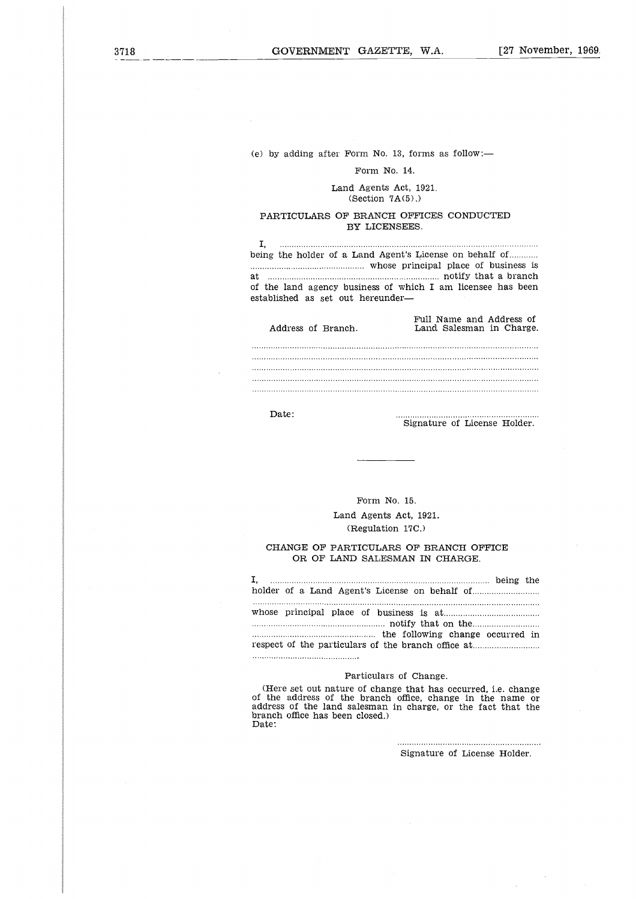(e) by adding after Form No. 13, forms as follow:—

## Form No. 14.

## Land Agents Act, 1921. (Section  $7A(5)$ .)

## PARTICULARS OF BRANCH OFFICES CONDUCTED BY LICENSEES.

being the holder of a Land Agent's License on behalf of........... at notify that a branch (<br>b<br>a<br>e<br>e t<br>A<br>...<br>... whose principal place of business is .<br>..<br>פנט<br>s of the land agency business of which I am licensee has been established as set out hereunder Address of Branch. Land Salesman in Charge.

| Address of Branch. | Full Name and Address of<br>Land Salesman in Charge. |
|--------------------|------------------------------------------------------|
|                    |                                                      |
|                    |                                                      |
|                    |                                                      |
|                    |                                                      |
|                    |                                                      |

Date:

Signature of License Holder.

. . . . . . . . . . . . .

## CHANGE OF PARTICULARS OF BRANCH OFFICE OR OF LAND SALESMAN IN CHARGE.

| Form No. 15.                                                             |
|--------------------------------------------------------------------------|
| Land Agents Act, 1921.                                                   |
| (Regulation 17C.)                                                        |
| CHANGE OF PARTICULARS OF BRANCH OFFICE<br>OR OF LAND SALESMAN IN CHARGE. |
| I.                                                                       |
|                                                                          |
| Particulars of Change.                                                   |

## Particulars of Change.

(Here set out nature of change that has occurred, i.e. change of the address of the branch office, change in the name or address of the land salesman in charge, or the fact that the branch office has been closed.) Date:

> Signature of License Holder.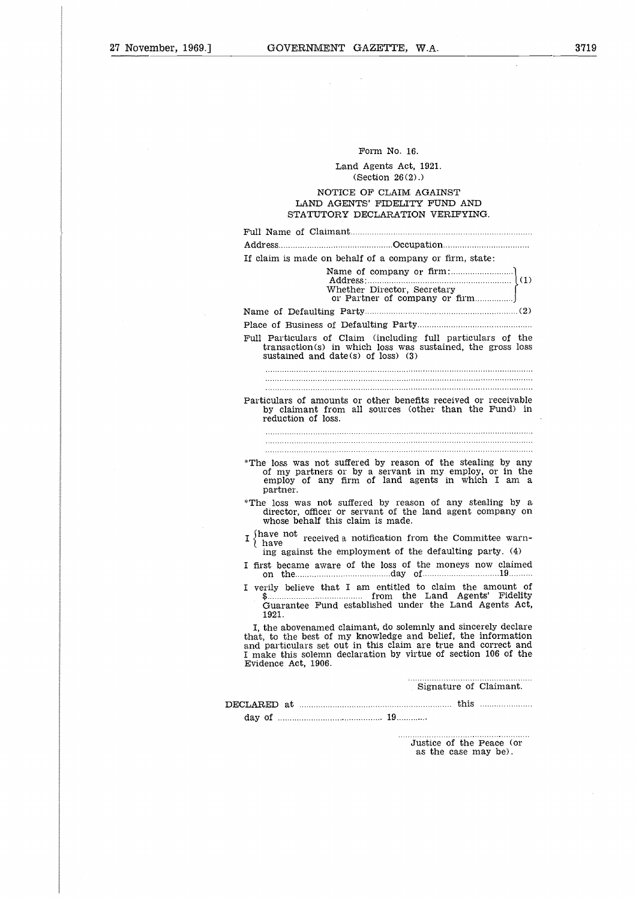## Form No. 16.

## Land Agents Act, 1921. (Section 26 (2) .)

## NOTICE OF CLAIM AGAINST LAND AGENTS' FIDELITY FUND AND STATUTORY DECLARATION VERIFYING.

| Form No. 16.<br>Land Agents Act, 1921.<br>(Section 26(2).)<br>NOTICE OF CLAIM AGAINST<br>LAND AGENTS' FIDELITY FUND AND<br>STATUTORY DECLARATION VERIFYING.<br>If claim is made on behalf of a company or firm, state:<br>Whether Director, Secretary<br>Full Particulars of Claim (including full particulars of the<br>transaction(s) in which loss was sustained, the gross loss<br>sustained and date(s) of $loss$ ) (3)<br>Particulars of amounts or other benefits received or receivable<br>by claimant from all sources (other than the Fund) in<br>reduction of loss.<br>*The loss was not suffered by reason of the stealing by any<br>of my partners or by a servant in my employ, or in the<br>employ of any firm of land agents in which I am a<br>partner.<br>*The loss was not suffered by reason of any stealing by a<br>director, officer or servant of the land agent company on<br>whose behalf this claim is made.<br>I have not received a notification from the Committee warn-<br>} have<br>ing against the employment of the defaulting party. (4)<br>I first became aware of the loss of the moneys now claimed<br>on the material contract and a set of the set of the set of the set of the set of the set of the set of the set of the set of the set of the set of the set of the set of the set of the set of the set of the set of the set<br>I verily believe that I am entitled to claim the amount of<br>Guarantee Fund established under the Land Agents Act,<br>1921.<br>I, the abovenamed claimant, do solemnly and sincerely declare<br>that, to the best of my knowledge and belief, the information<br>and particulars set out in this claim are true and correct and<br>I make this solemn declaration by virtue of section 106 of the<br>Evidence Act, 1906.<br>Signature of Claimant.<br>Justice of the Peace (or<br>as the case may be). |  |
|--------------------------------------------------------------------------------------------------------------------------------------------------------------------------------------------------------------------------------------------------------------------------------------------------------------------------------------------------------------------------------------------------------------------------------------------------------------------------------------------------------------------------------------------------------------------------------------------------------------------------------------------------------------------------------------------------------------------------------------------------------------------------------------------------------------------------------------------------------------------------------------------------------------------------------------------------------------------------------------------------------------------------------------------------------------------------------------------------------------------------------------------------------------------------------------------------------------------------------------------------------------------------------------------------------------------------------------------------------------------------------------------------------------------------------------------------------------------------------------------------------------------------------------------------------------------------------------------------------------------------------------------------------------------------------------------------------------------------------------------------------------------------------------------------------------------------------------------------------------------------------------|--|
|                                                                                                                                                                                                                                                                                                                                                                                                                                                                                                                                                                                                                                                                                                                                                                                                                                                                                                                                                                                                                                                                                                                                                                                                                                                                                                                                                                                                                                                                                                                                                                                                                                                                                                                                                                                                                                                                                      |  |
|                                                                                                                                                                                                                                                                                                                                                                                                                                                                                                                                                                                                                                                                                                                                                                                                                                                                                                                                                                                                                                                                                                                                                                                                                                                                                                                                                                                                                                                                                                                                                                                                                                                                                                                                                                                                                                                                                      |  |
|                                                                                                                                                                                                                                                                                                                                                                                                                                                                                                                                                                                                                                                                                                                                                                                                                                                                                                                                                                                                                                                                                                                                                                                                                                                                                                                                                                                                                                                                                                                                                                                                                                                                                                                                                                                                                                                                                      |  |
|                                                                                                                                                                                                                                                                                                                                                                                                                                                                                                                                                                                                                                                                                                                                                                                                                                                                                                                                                                                                                                                                                                                                                                                                                                                                                                                                                                                                                                                                                                                                                                                                                                                                                                                                                                                                                                                                                      |  |
|                                                                                                                                                                                                                                                                                                                                                                                                                                                                                                                                                                                                                                                                                                                                                                                                                                                                                                                                                                                                                                                                                                                                                                                                                                                                                                                                                                                                                                                                                                                                                                                                                                                                                                                                                                                                                                                                                      |  |
|                                                                                                                                                                                                                                                                                                                                                                                                                                                                                                                                                                                                                                                                                                                                                                                                                                                                                                                                                                                                                                                                                                                                                                                                                                                                                                                                                                                                                                                                                                                                                                                                                                                                                                                                                                                                                                                                                      |  |
|                                                                                                                                                                                                                                                                                                                                                                                                                                                                                                                                                                                                                                                                                                                                                                                                                                                                                                                                                                                                                                                                                                                                                                                                                                                                                                                                                                                                                                                                                                                                                                                                                                                                                                                                                                                                                                                                                      |  |
|                                                                                                                                                                                                                                                                                                                                                                                                                                                                                                                                                                                                                                                                                                                                                                                                                                                                                                                                                                                                                                                                                                                                                                                                                                                                                                                                                                                                                                                                                                                                                                                                                                                                                                                                                                                                                                                                                      |  |
|                                                                                                                                                                                                                                                                                                                                                                                                                                                                                                                                                                                                                                                                                                                                                                                                                                                                                                                                                                                                                                                                                                                                                                                                                                                                                                                                                                                                                                                                                                                                                                                                                                                                                                                                                                                                                                                                                      |  |
|                                                                                                                                                                                                                                                                                                                                                                                                                                                                                                                                                                                                                                                                                                                                                                                                                                                                                                                                                                                                                                                                                                                                                                                                                                                                                                                                                                                                                                                                                                                                                                                                                                                                                                                                                                                                                                                                                      |  |
|                                                                                                                                                                                                                                                                                                                                                                                                                                                                                                                                                                                                                                                                                                                                                                                                                                                                                                                                                                                                                                                                                                                                                                                                                                                                                                                                                                                                                                                                                                                                                                                                                                                                                                                                                                                                                                                                                      |  |
|                                                                                                                                                                                                                                                                                                                                                                                                                                                                                                                                                                                                                                                                                                                                                                                                                                                                                                                                                                                                                                                                                                                                                                                                                                                                                                                                                                                                                                                                                                                                                                                                                                                                                                                                                                                                                                                                                      |  |
|                                                                                                                                                                                                                                                                                                                                                                                                                                                                                                                                                                                                                                                                                                                                                                                                                                                                                                                                                                                                                                                                                                                                                                                                                                                                                                                                                                                                                                                                                                                                                                                                                                                                                                                                                                                                                                                                                      |  |
|                                                                                                                                                                                                                                                                                                                                                                                                                                                                                                                                                                                                                                                                                                                                                                                                                                                                                                                                                                                                                                                                                                                                                                                                                                                                                                                                                                                                                                                                                                                                                                                                                                                                                                                                                                                                                                                                                      |  |
|                                                                                                                                                                                                                                                                                                                                                                                                                                                                                                                                                                                                                                                                                                                                                                                                                                                                                                                                                                                                                                                                                                                                                                                                                                                                                                                                                                                                                                                                                                                                                                                                                                                                                                                                                                                                                                                                                      |  |
|                                                                                                                                                                                                                                                                                                                                                                                                                                                                                                                                                                                                                                                                                                                                                                                                                                                                                                                                                                                                                                                                                                                                                                                                                                                                                                                                                                                                                                                                                                                                                                                                                                                                                                                                                                                                                                                                                      |  |
|                                                                                                                                                                                                                                                                                                                                                                                                                                                                                                                                                                                                                                                                                                                                                                                                                                                                                                                                                                                                                                                                                                                                                                                                                                                                                                                                                                                                                                                                                                                                                                                                                                                                                                                                                                                                                                                                                      |  |
|                                                                                                                                                                                                                                                                                                                                                                                                                                                                                                                                                                                                                                                                                                                                                                                                                                                                                                                                                                                                                                                                                                                                                                                                                                                                                                                                                                                                                                                                                                                                                                                                                                                                                                                                                                                                                                                                                      |  |
|                                                                                                                                                                                                                                                                                                                                                                                                                                                                                                                                                                                                                                                                                                                                                                                                                                                                                                                                                                                                                                                                                                                                                                                                                                                                                                                                                                                                                                                                                                                                                                                                                                                                                                                                                                                                                                                                                      |  |
|                                                                                                                                                                                                                                                                                                                                                                                                                                                                                                                                                                                                                                                                                                                                                                                                                                                                                                                                                                                                                                                                                                                                                                                                                                                                                                                                                                                                                                                                                                                                                                                                                                                                                                                                                                                                                                                                                      |  |
|                                                                                                                                                                                                                                                                                                                                                                                                                                                                                                                                                                                                                                                                                                                                                                                                                                                                                                                                                                                                                                                                                                                                                                                                                                                                                                                                                                                                                                                                                                                                                                                                                                                                                                                                                                                                                                                                                      |  |
|                                                                                                                                                                                                                                                                                                                                                                                                                                                                                                                                                                                                                                                                                                                                                                                                                                                                                                                                                                                                                                                                                                                                                                                                                                                                                                                                                                                                                                                                                                                                                                                                                                                                                                                                                                                                                                                                                      |  |
|                                                                                                                                                                                                                                                                                                                                                                                                                                                                                                                                                                                                                                                                                                                                                                                                                                                                                                                                                                                                                                                                                                                                                                                                                                                                                                                                                                                                                                                                                                                                                                                                                                                                                                                                                                                                                                                                                      |  |
|                                                                                                                                                                                                                                                                                                                                                                                                                                                                                                                                                                                                                                                                                                                                                                                                                                                                                                                                                                                                                                                                                                                                                                                                                                                                                                                                                                                                                                                                                                                                                                                                                                                                                                                                                                                                                                                                                      |  |
|                                                                                                                                                                                                                                                                                                                                                                                                                                                                                                                                                                                                                                                                                                                                                                                                                                                                                                                                                                                                                                                                                                                                                                                                                                                                                                                                                                                                                                                                                                                                                                                                                                                                                                                                                                                                                                                                                      |  |
|                                                                                                                                                                                                                                                                                                                                                                                                                                                                                                                                                                                                                                                                                                                                                                                                                                                                                                                                                                                                                                                                                                                                                                                                                                                                                                                                                                                                                                                                                                                                                                                                                                                                                                                                                                                                                                                                                      |  |
|                                                                                                                                                                                                                                                                                                                                                                                                                                                                                                                                                                                                                                                                                                                                                                                                                                                                                                                                                                                                                                                                                                                                                                                                                                                                                                                                                                                                                                                                                                                                                                                                                                                                                                                                                                                                                                                                                      |  |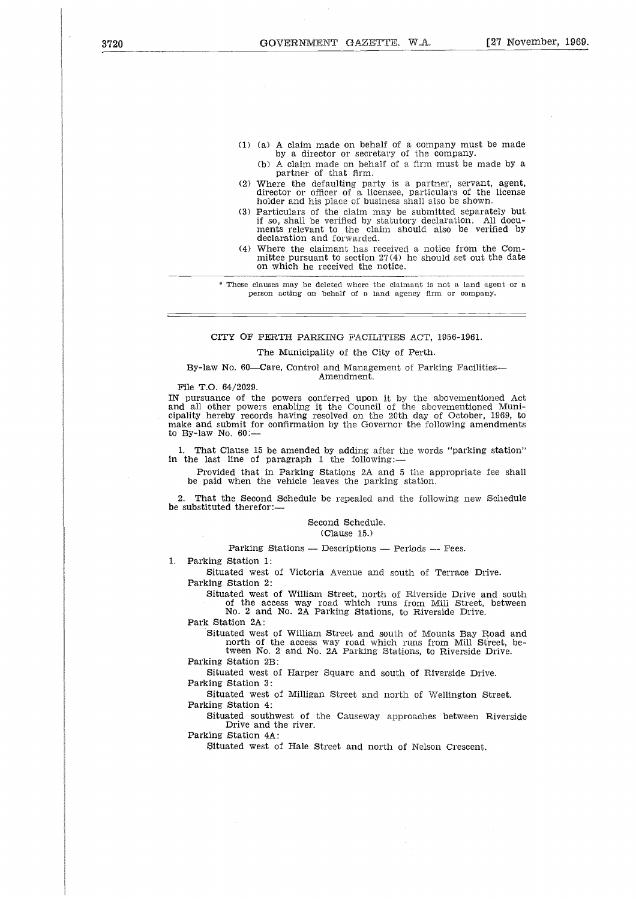- (1) (a) A claim made on behalf of a company must be made by a director or secretary of the company.
	- (b) A claim made on behalf of a firm must be made by a partner of that firm.
- (2) Where the defaulting party is a partner, servant, agent, director or officer of a licensee, particulars of the license holder and his place of business shall also be shown.
- (3) Particulars of the claim may be submitted separately but if so, shall be verified by statutory declaration. All docu-ments relevant to the claim should also be verified by declaration and forwarded.
- (4) Where the claimant has received a notice from the Committee pursuant to section 27(4) he should set out the date on which he received the notice.

These clauses may be deleted where the claimant is not a land agent or a person acting on behalf of a land agency firm or company.

## CITY OF PERTH PARKING FACILITIES ACT, 1956-1961.

#### The Municipality of the City of Perth.

#### By-law No. 60—Care, Control and Management of Parking Facilities— Amendment.

File T.O. 64/2029.

IN pursuance of the powers conferred upon it by the abovementioned Act and all other powers enabling it the Council of the abovementioned Municipality hereby records having resolved on the 20th day of October, 1969, to make and submit for confirmation by the Governor the following amendments to By-law No. 60:—

1. That Clause 15 be amended by adding after the words "parking station" in the last line of paragraph 1 the following:—

Provided that in Parking Stations 2A and 5 the appropriate fee shall be paid when the vehicle leaves the parking station.

That the Second Schedule be repealed and the following new Schedule be substituted therefor:—

## Second Schedule.

(Clause 15.)

 $Parking\ Stations$  — Descriptions — Periods — Fees.

1. Parking Station 1:

Situated west of Victoria Avenue and south of Terrace Drive. Parking Station 2:

Situated west of William Street, north of Riverside Drive and south of the access way road which runs from Mill Street, between No. 2 and No. 2A Parking Stations, to Riverside Drive.

Park Station 2A:

Situated west of William Street and south of Mounts Bay Road and north of the access way road which runs from Mill Street, between No. 2 and No. 2A Parking Stations, to Riverside Drive.

Parking Station 2B:

Situated west of Harper Square and south of Riverside Drive. Parking Station 3:

Situated west of Milligan Street and north of Wellington Street. Parking Station 4:

Situated southwest of the Causeway approaches between Riverside Drive and the river.

Parking Station 4A:

Situated west of Hale Street and north of Nelson Crescent.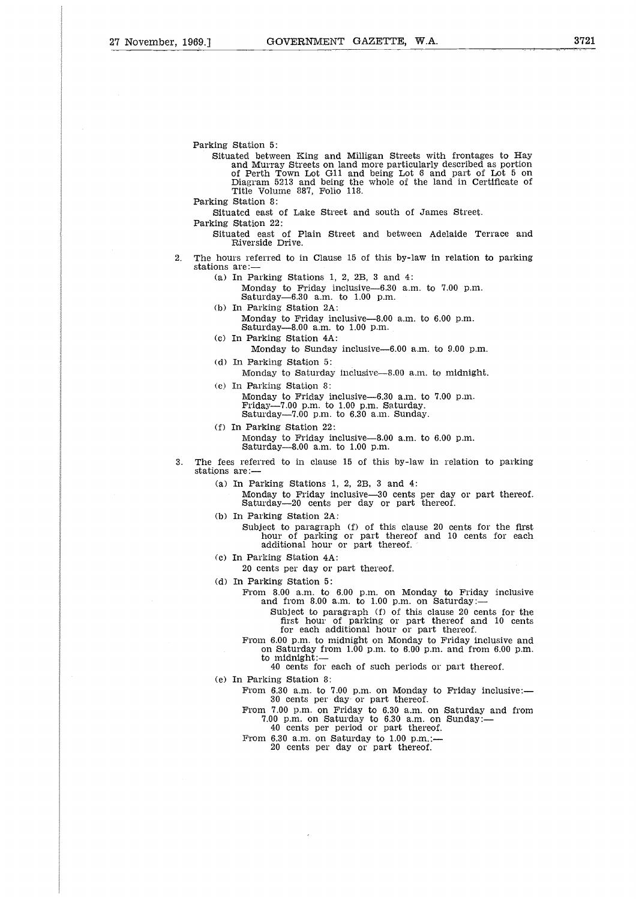Parking Station 5: Situated between King and Milligan Streets with frontages to Hay and Murray Streets on land more particularly described as portion of Perth Town Lot Gil and being Lot 6 and part of Lot 5 on Diagram 5213 and being the whole of the land in Certificate of Title Volume 887, Folio 118. Parking Station 8: Situated east of Lake Street and south of James Street. Parking Station 22: Situated east of Plain Street and between Adelaide Terrace and Riverside Drive. 2. The hours referred to in Clause 15 of this by-law in relation to parking stations are:- (a) In Parking Stations 1, 2, 2B, 3 and 4: Monday to Friday inclusive-6.30 a.m. to 7.00 p.m. Saturday-6.30 a.m. to 1.00 p.m. (b) In Parking Station 2A: Monday to Friday inclusive-8.00 a.m. to  $6.00$  p.m. Saturday-8.00 a.m. to 1.00 p.m. (c) In Parking Station 4A: Monday to Sunday inclusive-6.00 a.m. to 9.00 p.m. (d) In Parking Station 5: Monday to Saturday inclusive-8.00 a.m. to midnight. (e) In Parking Station 8: Monday to Friday inclusive-6.30 a.m. to 7.00 p.m. Friday-7.00 p.m. to 1.00 p.m. Saturday. Saturday-7.00 p.m. to 6.30 a.m. Sunday. (f) In Parking Station 22: Monday to Friday inclusive-8.00 a.m. to 6.00 p.m. Saturday-8.00 a.m. to 1.00 p.m. 3. The fees referred to in clause 15 of this by-law in relation to parking stations are:- (a) In Parking Stations 1, 2, 2B, 3 and 4: Monday to Friday inclusive-30 cents per day or part thereof. Saturday-20 cents per day or part thereof. (b) In Parking Station 2A: Subject to paragraph (1) of this clause 20 cents for the first hour of parking or part thereof and 10 cents for each additional hour or part thereof. (c) In Parking Station 4A: 20 cents per day or part thereof. (d) In Parking Station 5: From 8.00 a.m. to 6.00 p.m. on Monday to Friday inclusive and from 8.00 a.m. to 1.00 p.m. on  $\texttt{Saturday}\!:=$ Subject to paragraph (f) of this clause 20 cents for the first hour of parking or part thereof and 10 cents for each additional hour or part thereof. From 6.00 p.m. to midnight on Monday to Friday inclusive and on Saturday from 1.00 p.m. to 6.00 p.m. and from 6.00 p.m.<br>to midnight:— 40 cents for each of such periods or part thereof. (e) In Parking Station 8: From  $6.30$  a.m. to  $7.00$  p.m. on Monday to Friday inclusive:-30 cents per day or part thereof. From 7.00 p.m. on Friday to 6.30 a.m. on Saturday and from 7.00 p.m. on Saturday to 6.30 a.m. on Sunday: $-$ 40 cents per period or part thereof. From 6.30 a.m. on Saturday to 1.00 p.m.:-20 cents per day or part thereof.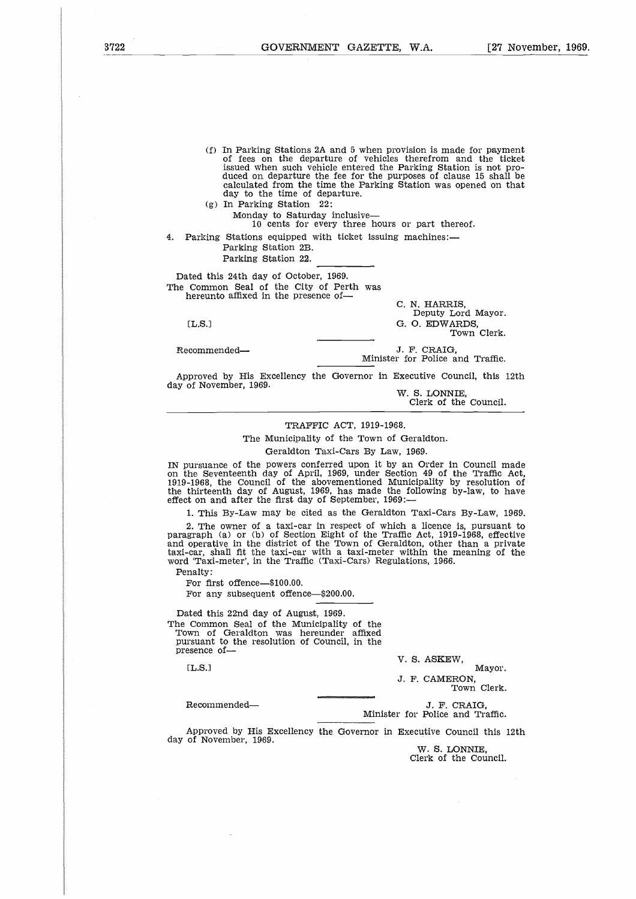- (f) In Parking Stations 2A and 5 when provision is made for payment of fees on the departure of vehicles therefrom and the ticket issued when such vehicle entered the Parking Station is not pro-duced on departure the fee for the purposes of clause 15 shall be calculated from the time the Parking Station was opened on that day to the time of departure.
- (g) In Parking Station 22 Monday to Saturday inclusive-

10 cents for every three hours or part thereof.

4. Parking Stations equipped with ticket issuing machines:— Parking Station 2B.

Parking Station 22.

Dated this 24th day of October, 1969. The Common Seal of the City of Perth was hereunto affixed in the presence ofday to the time of departure.<br>
(g) In Parking Station 22:<br>
Monday to Saturday inclusive—<br>
10 cents for every three hours or part thereof.<br>
Parking Stations equipped with ticket issuing machines:—<br>
Parking Station 2B.<br>
Park Monday to Savaday inclusive hours or part the<br>
Parking Stations equipped with ticket issuing machines:—<br>
Parking Station 2B.<br>
Parking Station 2B.<br>
Parking Station 2B.<br>
Parking Station 22.<br>
Dated this 24th day of October, 1

C. N. HARRIS, Deputy Lord Mayor. Town Clerk.

Minister for Police and Traffic.

Approved by His Excellency the Governor in Executive Council, this 12th day of November, 1969.

W. S. LONNIE, Clerk of the Council.

## TRAFFIC ACT, 1919-1968.

The Municipality of the Town of Geraldton.

Geraldton Taxi-Cars By Law, 1969.

IN pursuance of the powers conferred upon it by an Order in Council made on the Seventeenth day of April, 1969, under Section 49 of the Traffic Act, 1919-1968, the Council of the abovementioned Municipality by resolution of the thirteenth day of August, 1969, has made the following by-law, to have effect on and after the first day of September, 1969:-

1. This By-Law may be cited as the Geraldton Taxi-Cars By-Law, 1969.

2. The owner of a taxi-car in respect of which a licence is, pursuant to Paragraph (a) or (b) of Section Eight of the Traffic Act, 1919-1968, effective and operative in the district of the Town of Geraldton, other than a private taxi-car, shall fit the taxi-car with a taxi-meter within the meaning of the word 'Taxi-meter', in the Traffic (Taxi-Cars) Regulations, 1966.

Penalty:

For first offence—\$100.00.

For any subsequent offence—\$200.00.

Dated this 22nd day of August, 1969. The Common Seal of the Municipality of the Town of Geraldton was hereunder affixed pursuant to the resolution of Council, in the presence of-: The operator of the start of the start of the start of the start of the start of the start of the start of the start of the start of the start of the start of the start of the start of the start of the start of the start malty:<br>
For first offence—\$100.00.<br>
For first offence—\$100.00.<br>
ated this 22nd day of August, 1969.<br>
Common Seal of the Municipality of the<br>
rsuant to the resolution of Council, in the<br>
sence of—<br>
[L.S.]<br>
J. F. CAMERON, To

V. S. ASKEW,

Mayor. J. F. CAMERON, Town Clerk.

Minister for Police and Traffic.

Approved by His Excellency the Governor in Executive Council this 12th day of November, 1969.

W. S. LONNIE, Clerk of the Council.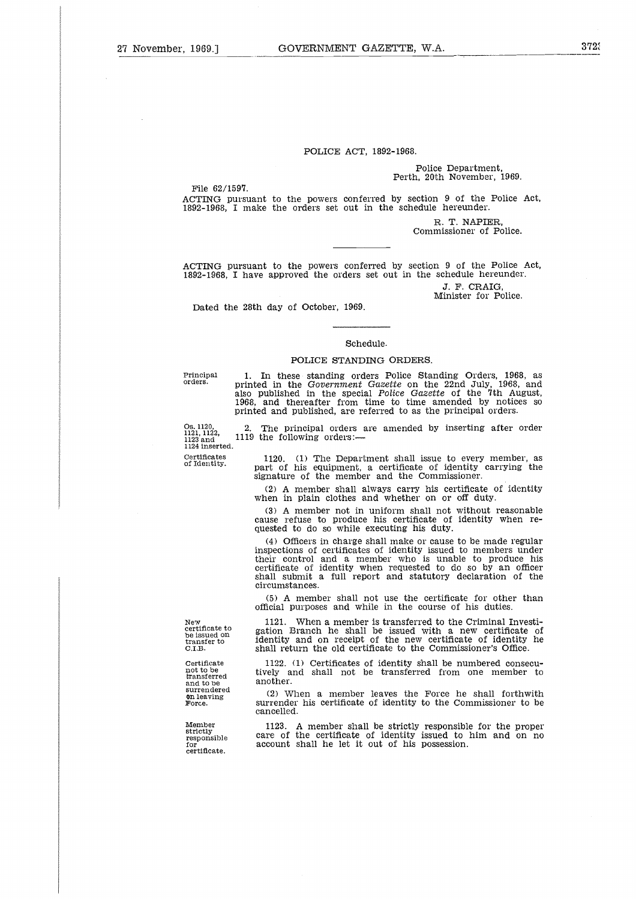## POLICE ACT, 1892-1968.

## Police Department, Perth, 20th November, 1969.

File 62/1597.

ACTING pursuant to the powers conferred by section 9 of the Police Act, 1892-1968, I make the orders set out in the schedule hereunder.

> R. T. NAPIER, Commissioner of Police.

ACTING pursuant to the powers conferred by section 9 of the Police Act, 1892-1968, I have approved the orders set out in the schedule hereunder.

> J. F. CRAIG, Minister for Police.

Dated the 28th day of October, 1969.

## Schedule.

## POLICE STANDING ORDERS.

Principal<br>orders.<br>Os. 1120,<br>1121, 1122<br>1123 and<br>1124 inse Principal<br>Drders.<br>0s. 1120,<br>1121, 1122<br>1123 and<br>Certificat<br>of Identi<sup>,</sup> Principal orders.

**Certificates** of Identity.

1. In these standing orders Police Standing Orders, 1968, as inted in the Government Gazette on the 22nd July, 1968, and printed in the *Government Gazette* on the 22nd July, 1968, and also published in the special *Police Gazette* of the 7th August, 1968, and thereafter from time to time amended by notices so printed and published, are referred to as the principal orders.

The principal orders are amended by inserting after order 1119 the following orders:-1124 inserted.

> 1120. (1) The Department shall issue to every member, as part of his equipment, a certificate of identity carrying the signature of the member and the Commissioner.

(2) A member shall always carry his certificate of identity when in plain clothes and whether on or off duty.

(3) A member not in uniform shall not without reasonable cause refuse to produce his certificate of identity when requested to do so while executing his duty.

(4) Officers in charge shall make or cause to be made regular inspections of certificates of identity issued to members under their control and a member who is unable to produce his certificate of identity when requested to do so by an officer shall submit a full report and statutory declaration of the circumstances.

(5) A member shall not use the certificate for other than official purposes and while in the course of his duties.

1121. When a member is transferred to the Criminal Investi-gation Branch he shall be issued with a new certificate of identity and on receipt of the new certificate of identity he shall return the old certificate to the Commissioner's Office.

> 1122. (1) Certificates of identity shall be numbered consecutively and shall not be transferred from one member to another.

> (2) When a member leaves the Force he shall forthwith surrender his certificate of identity to the Commissioner to be cancelled.

> 1123. A member shall be strictly responsible for the proper care of the certificate of identity issued to him and on no account shall he let it out of his possession.

New certificate to be issued on transfer to C.I.B.

**Certificate** not to be transferred and to be surrendered on leaving Force.

Member strictly responsible for certificate.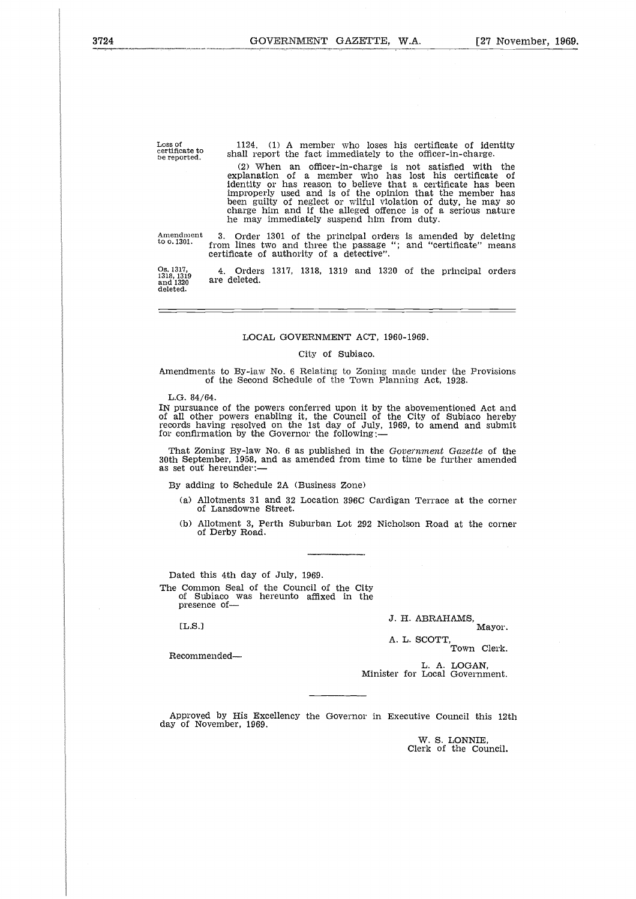Loss of certificate to be reported. 1124. (1) A member who loses his certificate of identity shall report the fact immediately to the officer-in-charge.

(2) When an officer-in-charge is not satisfied with the explanation of a member who has lost his certificate of identity or has reason to believe that a certificate has been improperly used and is of the opinion that the member has been guilty of neglect or wilful violation of duty, he may so charge him and if the alleged offence is of a serious nature he may immediately suspend him from duty.

3. Order 1301 of the principal orders is amended by deleting from lines two and three the passage "; and "certificate" means certificate of authority of a detective". Amendment to o. 1301.

4. Orders 1317, 1318, 1319 and 1320 of the principal orders are deleted. Os. 1317, 1318, 1319 and 1320 deleted.

## LOCAL GOVERNMENT ACT, 1960-1969.

#### City of Subiaco.

Amendments to By-law No. 6 Relating to Zoning made under the Provisions of the Second Schedule of the Town Planning Act, 1928•

L.G. 84/64.

IN pursuance of the powers conferred upon it by the abovementioned Act and of all other powers enabling it, the Council of the City of Subiaco hereby records having resolved on the 1st day of July, 1969, to amend and submit for confirmation by the Governor the following:

- of Lansdowne Street.
- of Derby Road.

Dated this 4th day of July, 1969. The Common Seal of the Council of the City of Subiaco was hereunto affixed in the presence of

J. H. ABRAHAMS,

A. L. SCOTT, Town Clerk.

Recommended

L. A. LOGAN, Minister for Local Government.

Approved by His Excellency the Governor in Executive Council this 12th day of November, 1969.

W. S. LONNIE, Clerk of the Council.

That Zoning By-law No. 6 as published in the *Government Gazette* of the 30th September, 1958, and as amended from time to time be further amended as set out hereunder:—

By adding to Schedule 2A (Business Zone)

- (a) Allotments 31 and 32 Location 396C Cardigan Terrace at the corner
- (b) Allotment 3, Perth Suburban Lot 292 Nicholson Road at the corner (a) Allotments 31 and 32 Location 396C Cardigan Terrace at the corn<br>
of Lansdowne Street.<br>
(b) Allotment 3, Perth Suburban Lot 292 Nicholson Road at the corn<br>
of Derby Road.<br>
<br>
(ed this 4th day of July, 1969.<br>
Common Seal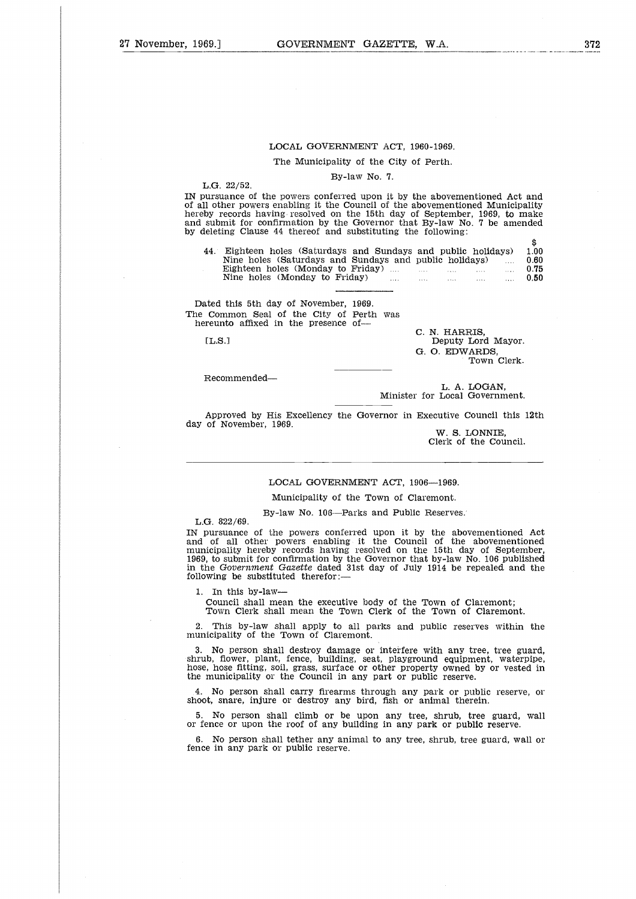## LOCAL GOVERNMENT ACT, 1960-1969.

The Municipality of the City of Perth.

#### By-law No. 7.

L.G. 22/52.

IN pursuance of the powers conferred upon it by the abovementioned Act and of all other powers enabling it the Council of the abovementioned Municipality hereby records having resolved on the 15th day of September, 1969, to make and submit for confirmation by the Governor that By-law No. 7 be amended by deleting Clause 44 thereof and substituting the following: LOCAL GOVERNMENT ACT, 1960-1969.<br>
The Municipality of the City of Perth.<br>
By-law No. 7.<br>
22/52.<br>
annee of the powers conferred upon it by the abovementioned Municipality<br>
ner powers enabling it the Council of the abovemen LOCAL GOVERNMENT ACT, 1960-1969.<br>
The Municipality of the City of Perth.<br>
22/52.<br>
By-law No. 7.<br>
22/52.<br>
ance of the powers conferred upon it by the abovementioned Act and<br>
ecords having resolved on the 15th day of Septem

| Il other powers enabling it the Council of the abovementioned Municipality<br>by records having resolved on the 15th day of September, 1969, to make<br>submit for confirmation by the Governor that By-law No. 7 be amended<br>leleting Clause 44 thereof and substituting the following: |                                                                                                                                                                                                                                   |
|--------------------------------------------------------------------------------------------------------------------------------------------------------------------------------------------------------------------------------------------------------------------------------------------|-----------------------------------------------------------------------------------------------------------------------------------------------------------------------------------------------------------------------------------|
| 44. Eighteen holes (Saturdays and Sundays and public holidays)<br>Nine holes (Saturdays and Sundays and public holidays)<br>Eighteen holes (Monday to Friday)<br>Nine holes (Monday to Friday)                                                                                             | \$.<br>1.00<br>0.60<br>$\cdots$<br>0.75<br>and the state of the state of<br>0.50<br><b>September</b><br>$\frac{1}{2}$ and $\frac{1}{2}$ and $\frac{1}{2}$ and $\frac{1}{2}$ and $\frac{1}{2}$ and $\frac{1}{2}$ and $\frac{1}{2}$ |
| ated this 5th day of November. 1969.<br>Common Seal of the City of Perth was<br>ereunto affixed in the presence of—<br>[L.S.]                                                                                                                                                              | C. N. HARRIS,<br>Deputy Lord Mayor.<br>G. O. EDWARDS.<br>Town Clerk.                                                                                                                                                              |

Dated this 5th day of November, 1969. The Common Seal of the City of Perth was hereunto affixed in the presence of

Recommended

L. A. LOGAN, Minister for Local Government.

Approved by His Excellency the Governor in Executive Council this 12th day of November, 1969.

W. S. LONNIE, Clerk of the Council.

## LOCAL GOVERNMENT ACT, 1906-1969.

Municipality of the Town of Claremont.

By-law No. 106--Parks and Public Reserves.

L.G. 822/69.

IN pursuance of the powers conferred upon it by the abovementioned Act and of all other powers enabling it the Council of the abovementioned municipality hereby records having resolved on the 15th day of September 1969, to submit for confirmation by the Governor that by-law No. 106 published in the *Government Gazette* dated 31st day of July 1914 be repealed and the following be substituted therefor:-

1. In this by-law

Council shall mean the executive body of the Town of Claremont; Town Clerk shall mean the Town Clerk of the Town of Claremont.

2. This by-law shall apply to all parks and public reserves within the municipality of the Town of Claremont.

3. No person shall destroy damage or interfere with any tree, tree guard, shrub, fiower, plant, fence, building, seat, playground equipment, waterpipe hose, hose fitting, soil, grass, surface or other property owned by or vested in the municipality or the Council in any part or public reserve.

4. No person shall carry firearms through any park or public reserve, or shoot, snare, injure or destroy any bird, fish or animal therein.

5. No person shall climb or be upon any tree, shrub, tree guard, wall or fence or upon the roof of any building in any park or public reserve.

6. No person shall tether any animal to any tree, shrub, tree guard, wall or fence in any park or public reserve.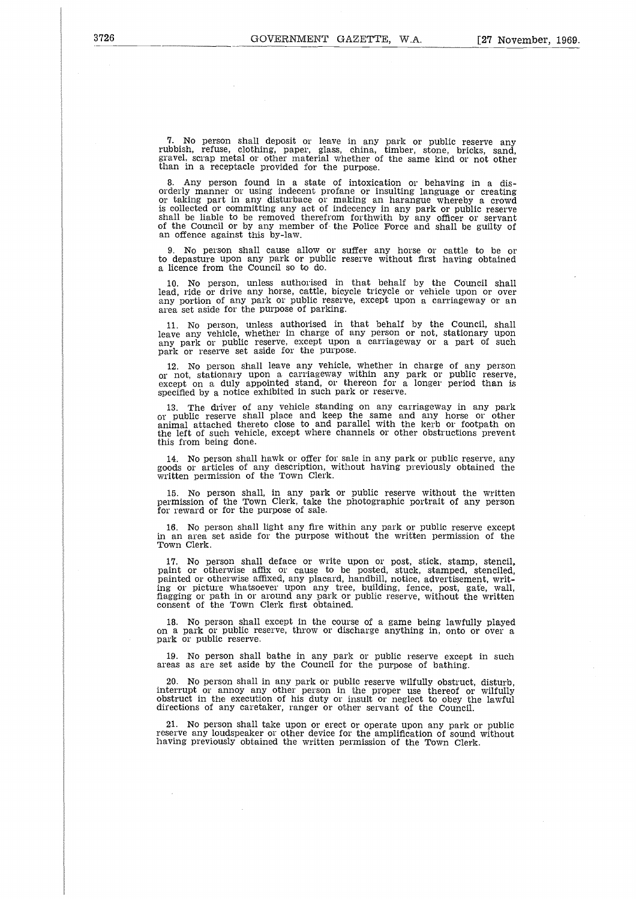7. No person shall deposit or leave in any park or public reserve any rubbish, refuse, clothing, paper, glass, china, timber, stone, bricks, sand, gravel, scrap metal or other material whether of the same kind or not other than in a receptacle provided for the purpose.

8. Any person found in a state of intoxication or behaving in a disorderly manner or using indecent profane or insulting language or creating or taking part in any disturbace or making an harangue whereby a crowd is collected or committing any act of indecency in any park or public reserve shall be liable to be removed therefrom forthwith by any officer or servant of the Council or by any member of the Police Force and shall be guilty of an offence against this by-law.

9. No person shall cause allow or suffer any horse or cattle to be or to depasture upon any park or public reserve without first having obtained a licence from the Council so to do.

10. No person, unless authorised in that behalf by the Council shall lead, ride or drive any horse, cattle, bicycle tricycle or vehicle upon or over any portion of any park or public reserve, except upon a carriageway or an area set aside for the purpose of parking.

11. No person, unless authorised in that behalf by the Council, shall leave any vehicle, whether in charge of any person or not, stationary upon any park or public reserve, except upon a carriageway or a part of such park or reserve set aside for the purpose

12. No person shall leave any vehicle, whether in charge of any person or not, stationary upon a carriageway within any park or public reserve, except on a duly appointed stand, or thereon for a longer period than is specified by a notice exhibited in such park or reserve.

13. The driver of any vehicle standing on any carriageway in any park or public reserve shall place and keep the same and any horse or other animal attached thereto close to and parallel with the kerb or footpath on the left of such vehicle, except where channels or other obstructions prevent this from being done.

14. No person shall hawk or offer for sale in any park or public reserve, any goods or articles of any description, without having previously obtained the written permission of the Town Clerk.

15. No person shall, in any park or public reserve without the written permission of the Town Clerk, take the photographic portrait of any person for reward or for the purpose of sale.

16. No person shall light any fire within any park or public reserve except in an area set aside for the purpose without the written permission of the Town Clerk.

17. No person shall deface or write upon or post, stick, stamp, stencil, paint or otherwise affix or cause to be posted, stuck, stamped, stenciled, painted or otherwise affixed, any placard, handbill, notice, advertisement, writ-<br>ing or picture whatsoever upon any tree, building, fence, post, gate, wall,<br>fiagging or path in or around any park or public reserve, withou

18. No person shall except in the course of a game being lawfully played on a park or public reserve, throw or discharge anything in, onto or over a park or public reserve.

19. No person shall bathe in any park or public reserve except in such areas as are set aside by the Council for the purpose of bathing.

20. No person shall in any park or public reserve wilfully obstruct, disturb, interrupt or annoy any other person in the proper use thereof or wilfully obstruct in the execution of his duty or insult or neglect to obey the lawful directions of any caretaker, ranger or other servant of the Council.

21. No person shall take upon or erect or operate upon any park or public reserve any loudspeaker or other device for the amplification of sound without having previously obtained the written permission of the Town Clerk.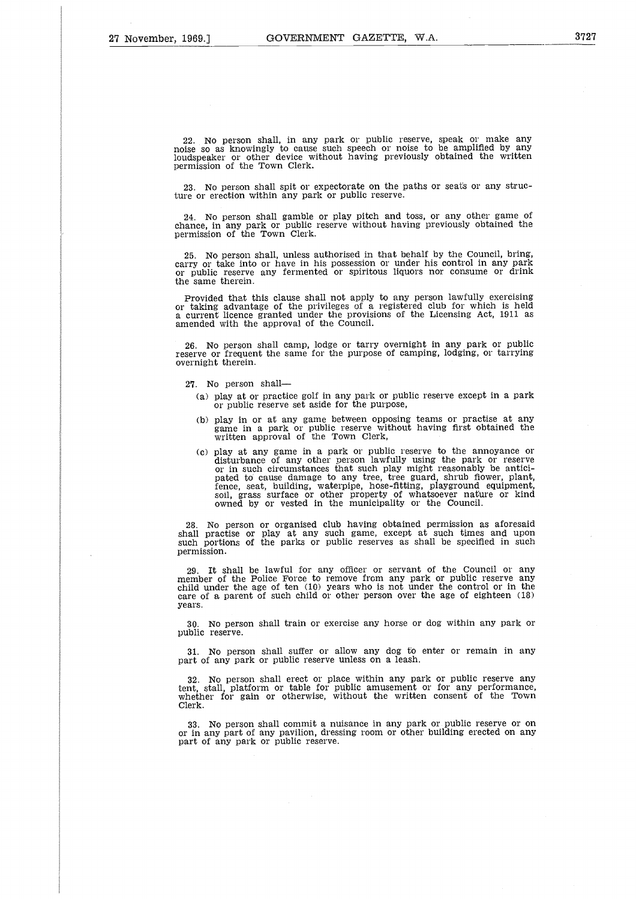22. No person shall, in any park or public reserve, speak or make any noise so as knowingly to cause such speech or noise to be amplified by any loudspeaker or other device without having previously obtained the written permission of the Town Clerk.

23. No person shall spit or expectorate on the paths or seats or any structure or erection within any park or public reserve.

24. No person shall gamble or play pitch and toss, or any other game of chance, in any park or public reserve without having previously obtained the permission of the Town Clerk.

25. No person shall, unless authorised in that behalf by the Council, bring, carry or take into or have in his possession or under his control in any park or public reserve any fermented or spiritous liquors nor consume or drink the same therein.

Provided that this clause shall not apply to any person lawfully exercising<br>or taking advantage of the privileges of a registered club for which is held<br>a current licence granted under the provisions of the Licensing Act, amended with the approval of the Council.

26. No person shall camp, lodge or tarry overnight in any park or public reserve or frequent the same for the purpose of camping, lodging, or tarrying overnight therein.

27. No person shall

- (a) play at or practice golf in any park or public reserve except in a park or public reserve set aside for the purpose,
- (b) play in or at any game between opposing teams or practise at any game in a park or public reserve without having first obtained the written approval of the Town Clerk,
- (c) play at any game in a park or public reserve to the annoyance or disturbance of any other person lawfully using the park or reserve or in such circumstances that such play might reasonably be antici-pated to cause damage to any tree, tree guard, shrub flower, plant, fence, seat, building, waterpipe, hose-fitting, playground equipment, soil, grass surface or other property of whatsoever nature or kind<br>owned by or vested in the municipality or the Council.

28. No person or organised club having obtained permission as aforesaid shall practise or play at any such game, except at such times and upon such portions of the parks or public reserves as shall be specified in such permission.

29. It shall be lawful for any officer or servant of the Council or any member of the Police Force to remove from any park or public reserve any child under the age of ten (10) years who is not under the control or in the care of a parent of such child or other person over the age of eighteen (18) years.

30. No person shall train or exercise any horse or dog within any park or public reserve.

31. No person shall suffer or allow any dog to enter or remain in any part of any park or public reserve unless on a leash.

32. No person shall erect or place within any park or public reserve any tent, stall, platform or table for public amusement or for any performance, whether for gain or otherwise, without the written consent of the Town Clerk.

33. No person shall commit a nuisance in any park or public reserve or on or in any part of any pavilion, dressing room or other building erected on any part of any park or public reserve.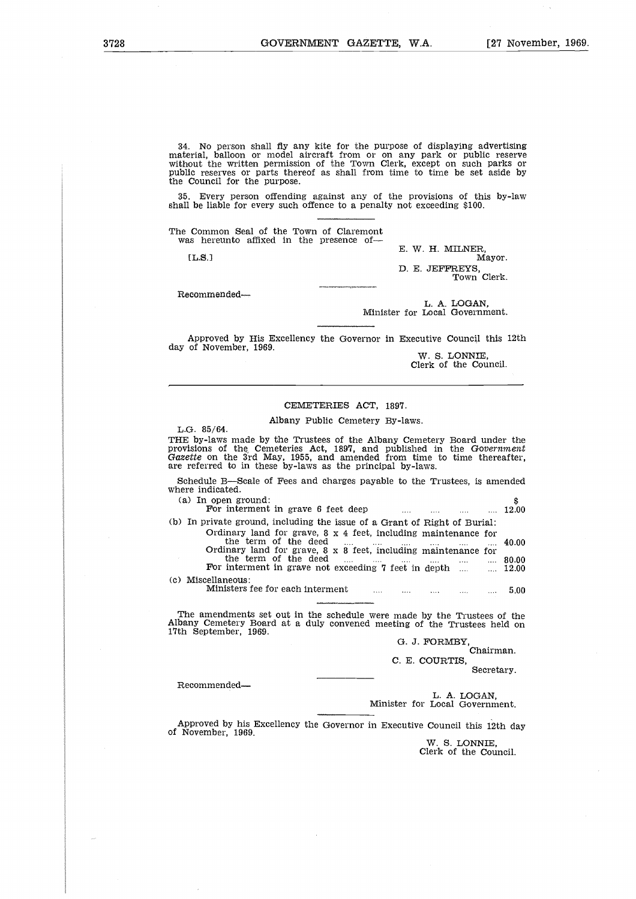34. No person shall fly any kite for the purpose of displaying advertising material, balloon or model aircraft from or on any park or public reserve without the written permission of the Town Clerk, except on such parks or public reserves or parts thereof as shall from time to time be set aside by the Council for the purpose. }<br>h;e<br>e: e: a<br>m

35. Every person offending against any of the provisions of this by-law shall be liable for every such offence to a penalty not exceeding \$100.

The Common Seal of the Town of Claremont was hereunto affixed in the presence of

[L.8.]

E. W. H. MILNER, Mayor.

D. E. JEFFREYS, Town Clerk.

Recommended

L. A. LOGAN, Minister for Local Government.

Approved by His Excellency the Governor in Executive Council this 12th day of November, 1969.

W. S. LONNIE, Clerk of the Council.

## CEMETERIES ACT, 1897.

#### Albany Public Cemetery By-laws.

| $\sum_{i=1}^{n}$                                                                                                                                                                                                                                                                            |
|---------------------------------------------------------------------------------------------------------------------------------------------------------------------------------------------------------------------------------------------------------------------------------------------|
|                                                                                                                                                                                                                                                                                             |
| CEMETERIES ACT, 1897.                                                                                                                                                                                                                                                                       |
| Albany Public Cemetery By-laws.<br>L.G. 85/64.                                                                                                                                                                                                                                              |
| THE by-laws made by the Trustees of the Albany Cemetery Board under the<br>provisions of the Cemeteries Act, 1897, and published in the Government<br>Gazette on the 3rd May, 1955, and amended from time to time thereafter.<br>are referred to in these by-laws as the principal by-laws. |
| Schedule B-Scale of Fees and charges payable to the Trustees, is amended<br>where indicated.                                                                                                                                                                                                |
| (a) In open ground:<br>\$<br>For interment in grave 6 feet deep<br>12.00                                                                                                                                                                                                                    |
| (b) In private ground, including the issue of a Grant of Right of Burial:<br>Ordinary land for grave, $8 \times 4$ feet, including maintenance for                                                                                                                                          |
| the term of the deed<br>40.00<br><b>Service Contractor</b><br>$\cdots$<br>and the con-<br>saas in<br>Ordinary land for grave, 8 x 8 feet, including maintenance for                                                                                                                         |
| the term of the deed<br>$\frac{1}{2}$ and $\frac{1}{2}$ and $\frac{1}{2}$ and $\frac{1}{2}$ and $\frac{1}{2}$ and $\frac{1}{2}$ 80.00<br>For interment in grave not exceeding 7 feet in depth<br>12.00                                                                                      |
| (c) Miscellaneous:<br>Ministers fee for each interment and the contract of the contract of the contract of the contract of the contract of the contract of the contract of the contract of the contract of the contract of the contract of the contr                                        |
| The amendments set out in the schedule were made by the Trustees of the<br>Albany Cemetery Board at a duly convened meeting of the Trustees held on                                                                                                                                         |

The amendments set out in the schedule were made by the Trustees of the Albany Cemetery Board at a duly convened meeting of the Trustees held on 17th September, 1969.

G. J. FORMBY, Chairman.

C. E. COURTIS, Secretary.

Recommended

L. A. LOGAN, Minister for Local Government.

Approved by his Excellency the Governor in Executive Council this 12th day of November, 1969.

> W. S. LONNIE, Clerk of the Council.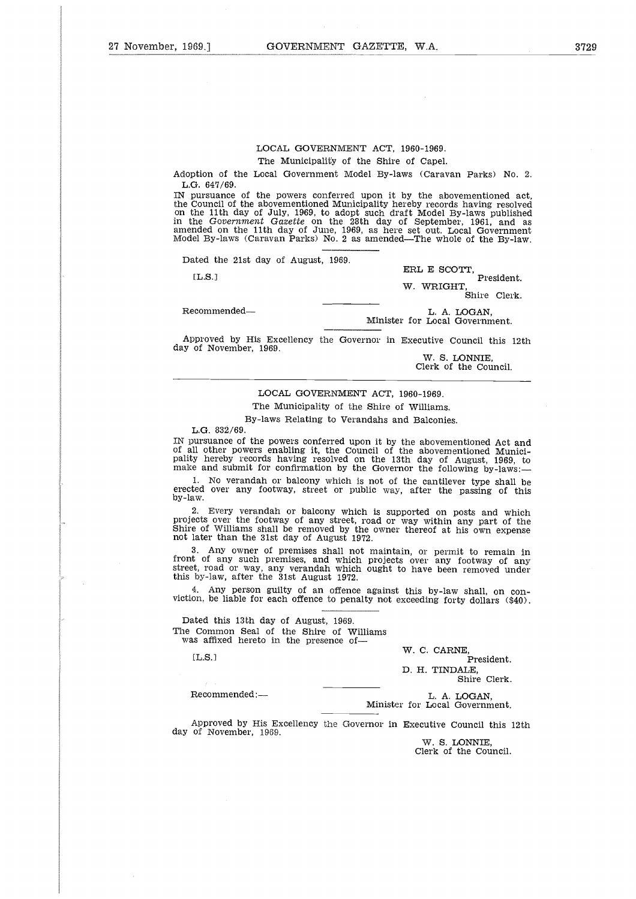Adoption of the Local Government Model By-laws (Caravan Parks) No. 2. L.G. 647/69.

IN pursuance of the powers conferred upon it by the abovementioned act, the Council of the abovementioned Municipality hereby records having resolved on the 11th day of July, 1969, to adopt such draft Model By-laws published in the Government Gazette on the 28th day of September, 1961, and as Model By-laws (Caravan Parks) No. 2 as amended—The whole of the By-law. ERL E SCOTT,<br>
The above and the downer of the powers conferred upon it by the abovemential<br>
L.G. 647/69.<br>
I pursuance of the powers conferred upon it by the abovemential<br>
the Government Gazette on the 28th day of September

Dated the 21st day of August, 1969.

[L.S.1]

ERL E SCOTT,

President. W. WRIGHT, Shire Clerk.

Minister for Local Government.

Approved by His Excellency the Governor in Executive Council this 12th day of November, 1969.

W. S. LONNIE, Clerk of the Council.

#### LOCAL GOVERNMENT ACT, 1960-1969.

The Municipality of the Shire of Williams.

By-laws Relating to Verandahs and Balconies.

L.G. 832/69.

IN pursuance of the powers conferred upon it by the abovementioned Act and of all other powers enabling it, the Council of the abovementioned Municipality hereby records having resolved on the 13th day of August, 1969, to make and submit for confirmation by the Governor the following by-laws:

1. No verandah or balcony which is not of the cantilever type shall be erected over any footway, street or public way, after the passing of this by-law.

2. Every verandah or balcony which is supported on posts and which projects over the footway of any street, road or way within any part of the Shire of Williams shall be removed by the owner thereof at his own expense not later than the 31st day of August 1972.

3. Any owner of premises shall not maintain, or permit to remain in front of any such premises, and which projects over any footway of any street, road or way, any verandah which ought to have been removed unde<br>this by-law, after the 31st August 1972. e of Williams shall be removed by the owner thereof at his own explater than the 31st day of August 1972.<br>
3. Any owner of premises shall not maintain, or permit to remain the 31st day of August 1972.<br>
5. Any some premises Example and which pught to have been removed by-law, after the 31st August 1972.<br>
4. Any person guilty of an offence against this by-law shall,<br>
on, be liable for each offence to penalty not exceeding forty dolla<br>
ated thi

4. Any person guilty of an offence against this by-law shall, on conviction, be liable for each offence to penalty not exceeding forty dollars (\$40).

Dated this 13th day of August, 1969. The Common Seal of the Shire of Williams was affixed hereto in the presence of-

W. C. CARNE,<br>President.

D. H. TINDALE,

Shire Clerk.

L. A. LOGAN,<br>Minister for Local Government.

Approved by His Excellency the Governor in Executive Council this 12th day of November, 1969.

> W. S. LONNIE, Clerk of the Council.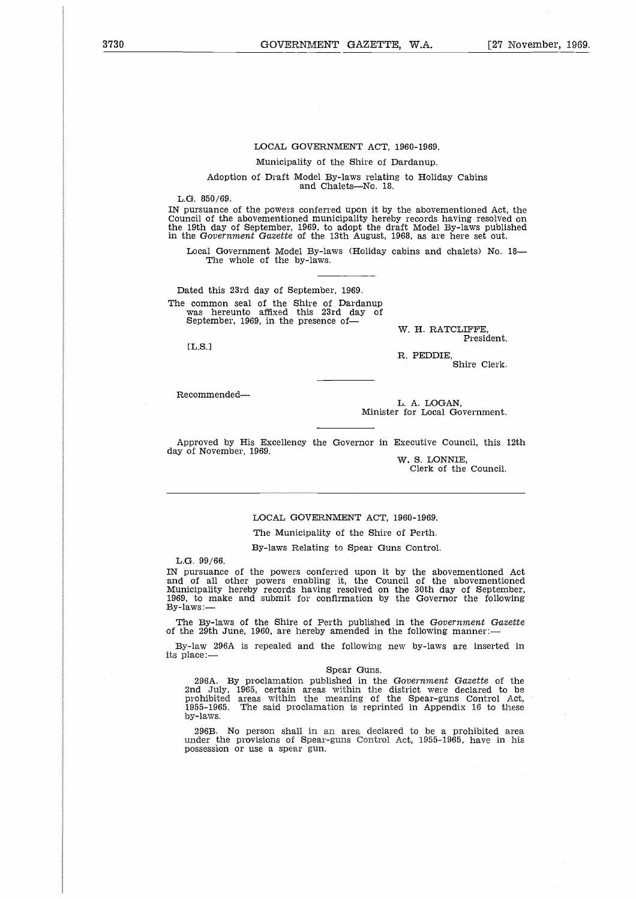## LOCAL GOVERNMENT ACT, 1960-1969.

Municipality of the Shire of Dardanup.

Adoption of Draft Model By-laws relating to Holiday Cabins and Chalets—No. 18.

L.G. 850/69.

IN pursuance of the powers conferred upon it by the abovementioned Act, the Council of the abovementioned municipality hereby records having resolved on the 19th day of September, 1969, to adopt the draft Model By-laws published in the *Government Gazette* of the 13th August, 1968, as are here set out.

Local Government Model By-laws (Holiday cabins and chalets) No. 18— The whole of the by-laws.

Dated this 23rd day of September, 1969. The common seal of the Shire of Dardanup was hereunto affixed this 23rd day of September, 1969, in the presence of-

EL.S.I

W. H. RATCLIFFE, President.

R. PEDDIE, Shire Clerk.

Recommended

L. A. LOGAN, Minister for Local Government.

Approved by His Excellency the Governor in Executive Council, this 12th day of November, 1969.

W. S. LONNIE, Clerk of the Council.

#### LOCAL GOVERNMENT ACT, 1960-1969.

The Municipality of the Shire of Perth.

By-laws Relating to Spear Guns Control.

L.G. 99/66.

IN pursuance of the powers conferred upon it by the abovementioned Act and of all other powers enabling it, the Council of the abovementioned Municipality hereby records having resolved on the 30th day of September, 1969, to make and submit for confirmation by the Governor the following By-laws:—

The By-laws of the Shire of Perth published in the *Government Gazette* of the 29th June, 1960, are hereby amended in the following manner:

By-law 296A is repealed and the following new by-laws are inserted in its place:—

## Spear Guns.

296A. By proclamation published in the *Government Gazette* of the 2nd July, 1965, certain areas within the district were declared to be prohibited areas within the meaning of the Spear-guns Control Act, 1955-1965. The said proclamation is reprinted in Appendix 16 to these by-laws.

296B. No person shall in an area declared to be a prohibited area under the provisions of Spear-guns Control Act, 1955-1965, have in hi possession or use a spear gun.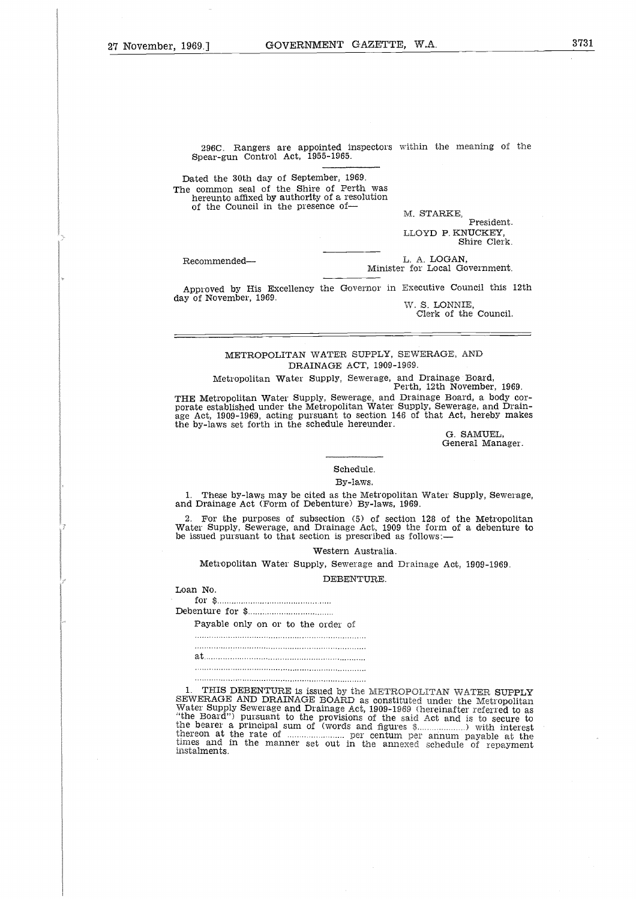296C. Rangers are appointed inspectors within the meaning of the Spear-gun Control Act, 1955-1965.

Dated the 30th day of September, 1969. The common seal of the Shire of Perth was hereunto affixed by authority of a resolution of the Council in the presence of 296C. Range<br>Spear-gun Con<br>Dated the 30th c<br>ne common seal<br>hereunto affixed<br>of the Council<br>Recommended—<br>Approved by History Dated the 30th day of<br>The common seal of the<br>nereunto affixed by:<br>of the Council in the<br>Recommended—<br>Recommended—<br>Approved by His Example 2014

M. STARKE,

President. LLOYD P. KNUCKEY, Shire Clerk.

L. A. LOGAN, Minister for Local Government.

Approved by His Excellency the Governor in Executive Council this 12th day of November, 1969.

W. S. LONNIE, Clerk of the Council.

## METROPOLITAN WATER SUPPLY, SEWERAGE, AND DRAINAGE ACT, 1909-1969

Metropolitan Water Supply, Sewerage, and Drainage Board, Perth, 12th November, 1969.

THE Metropolitan Water Supply, Sewerage, and Drainage Board, a body corporate established under the Metropolitan Water Supply, Sewerage, and Drainage Act, 1909-1969, acting pursuant to section 146 of that Act, hereby makes the by-laws set forth in the schedule hereunder.

G. SAMUEL, General Manager.

Schedule.

By-laws.

These by-laws may be cited as the Metropolitan Water Supply, Sewerage, and Drainage Act (Form of Debenture) By-laws, 1969,

2. For the purposes of subsection (5) of section 128 of the Metropolitan Water Supply, Sewerage, and Drainage Act, 1909 the form of a debenture to be issued pursuant to that section is prescribed as follows:— Thes<br>Drain:<br>For Sugsued I<br>Metro<br>Metro \$...<br>Interpayab:<br>Payab: atu<br>1<br>1<br>...<br>...

Western Australia.

Metropolitan Water Supply, Sewerage and Drainage Act, 1909-1969.

DEBENTURE.

Loan No.

Debenture for \$

Payable only on or to the order of

er<br>Sisue<br>M<br>M<br>M<br>M<br>M<br>M<br>Pay<br>M<br>M<br>M<br>M<br>M<br>M<br>M<br>M<br>M<br>M<br>M<br>M<br>H<br>M<br>H<br>M<br>H<br>M<br> $\,$ 

1. THIS DEBENTURE is issued by the METROPOLITAN WATER SUPPLY SEWERAGE AND DRAINAGE BOARD as constituted under the Metropolitan Water Supply Sewerage and Drainage Act, 1909-1969 (hereinafter referred to as "the Board") pursuant to the provisions of the said Act and is to secure to the bearer a principal sum of (words and figures \$ \) with interest interest.<br>
In the rate of annum payable only the METROPOLITAN WATER SUPPLY<br>
1. THIS DEBENTURE is issued by the METROPOLITAN WATER SUPPLY<br>
SEWERAGE AND DRA times and in the manner set out in the annexed schedule of repayment instalments.